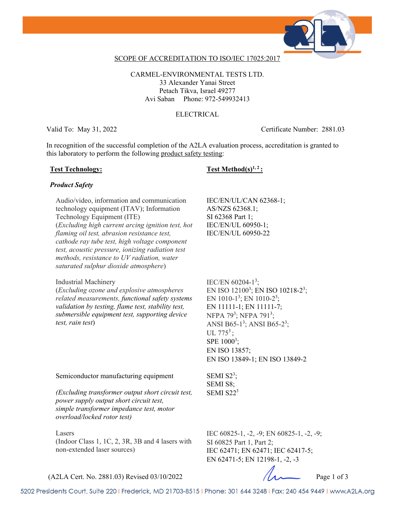

## SCOPE OF ACCREDITATION TO ISO/IEC 17025:2017

CARMEL-ENVIRONMENTAL TESTS LTD. 33 Alexander Yanai Street Petach Tikva, Israel 49277 Avi Saban Phone: 972-549932413

## ELECTRICAL

Valid To: May 31, 2022 Certificate Number: 2881.03

In recognition of the successful completion of the A2LA evaluation process, accreditation is granted to this laboratory to perform the following product safety testing:

## Test Technology: Test Method(s)<sup>1, 2</sup> :

## *Product Safety*

Audio/video, information and communication technology equipment (ITAV); Information Technology Equipment (ITE) (*Excluding high current arcing ignition test, hot flaming oil test, abrasion resistance test, cathode ray tube test, high voltage component test, acoustic pressure, ionizing radiation test methods, resistance to UV radiation, water saturated sulphur dioxide atmosphere*)

## Industrial Machinery

(*Excluding ozone and explosive atmospheres related measurements, functional safety systems validation by testing, flame test, stability test, submersible equipment test, supporting device test, rain test*)

IEC/EN/UL/CAN 62368-1; AS/NZS 62368.1; SI 62368 Part 1; IEC/EN/UL 60950-1; IEC/EN/UL 60950-22

IEC/EN  $60204 - 1^3$ ; EN ISO  $12100^3$ ; EN ISO  $10218-2^3$ ; EN 1010-1<sup>3</sup>; EN 1010-2<sup>3</sup>; EN 11111-1; EN 11111-7; NFPA 79<sup>3</sup>; NFPA 791<sup>3</sup>; ANSI B65-1<sup>3</sup>; ANSI B65-2<sup>3</sup>; UL  $775^3$ ; SPE  $1000^3$ ; EN ISO 13857; EN ISO 13849-1; EN ISO 13849-2

Semiconductor manufacturing equipment

*(Excluding transformer output short circuit test, power supply output short circuit test, simple transformer impedance test, motor overload/locked rotor test)*

## Lasers

(Indoor Class 1, 1C, 2, 3R, 3B and 4 lasers with non-extended laser sources)

SEMI  $S2^3$ ; SEMI S8; SEMI  $S22<sup>3</sup>$ 

IEC 60825-1, -2, -9; EN 60825-1, -2, -9; SI 60825 Part 1, Part 2; IEC 62471; EN 62471; IEC 62417-5; EN 62471-5; EN 12198-1, -2, -3

 $(A2LA$  Cert. No. 2881.03) Revised 03/10/2022 Page 1 of 3

5202 Presidents Court, Suite 220 | Frederick, MD 21703-8515 | Phone: 301 644 3248 | Fax: 240 454 9449 | www.A2LA.org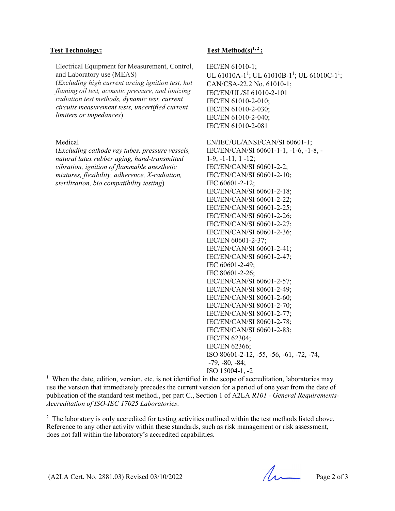Electrical Equipment for Measurement, Control, and Laboratory use (MEAS)

(*Excluding high current arcing ignition test, hot flaming oil test, acoustic pressure, and ionizing radiation test methods, dynamic test, current circuits measurement tests, uncertified current limiters or impedances*)

## Medical

(*Excluding cathode ray tubes, pressure vessels, natural latex rubber aging, hand-transmitted vibration, ignition of flammable anesthetic mixtures, flexibility, adherence, X-radiation, sterilization, bio compatibility testing*)

## Test Technology: Test Method(s)<sup>1,2</sup>:

IEC/EN 61010-1; UL 61010A-1<sup>1</sup>; UL 61010B-1<sup>1</sup>; UL 61010C-1<sup>1</sup>; CAN/CSA-22.2 No. 61010-1; IEC/EN/UL/SI 61010-2-101 IEC/EN 61010-2-010; IEC/EN 61010-2-030; IEC/EN 61010-2-040; IEC/EN 61010-2-081

EN/IEC/UL/ANSI/CAN/SI 60601-1; IEC/EN/CAN/SI 60601-1-1, -1-6, -1-8, - 1-9, -1-11, 1 -12; IEC/EN/CAN/SI 60601-2-2; IEC/EN/CAN/SI 60601-2-10; IEC 60601-2-12; IEC/EN/CAN/SI 60601-2-18; IEC/EN/CAN/SI 60601-2-22; IEC/EN/CAN/SI 60601-2-25; IEC/EN/CAN/SI 60601-2-26; IEC/EN/CAN/SI 60601-2-27; IEC/EN/CAN/SI 60601-2-36; IEC/EN 60601-2-37; IEC/EN/CAN/SI 60601-2-41; IEC/EN/CAN/SI 60601-2-47; IEC 60601-2-49; IEC 80601-2-26; IEC/EN/CAN/SI 60601-2-57; IEC/EN/CAN/SI 80601-2-49; IEC/EN/CAN/SI 80601-2-60; IEC/EN/CAN/SI 80601-2-70; IEC/EN/CAN/SI 80601-2-77; IEC/EN/CAN/SI 80601-2-78; IEC/EN/CAN/SI 60601-2-83; IEC/EN 62304; IEC/EN 62366; ISO 80601-2-12, -55, -56, -61, -72, -74, -79, -80, -84; ISO 15004-1, -2

<sup>1</sup> When the date, edition, version, etc. is not identified in the scope of accreditation, laboratories may use the version that immediately precedes the current version for a period of one year from the date of publication of the standard test method., per part C., Section 1 of A2LA *R101 - General Requirements-Accreditation of ISO-IEC 17025 Laboratories*.

<sup>2</sup> The laboratory is only accredited for testing activities outlined within the test methods listed above. Reference to any other activity within these standards, such as risk management or risk assessment, does not fall within the laboratory's accredited capabilities.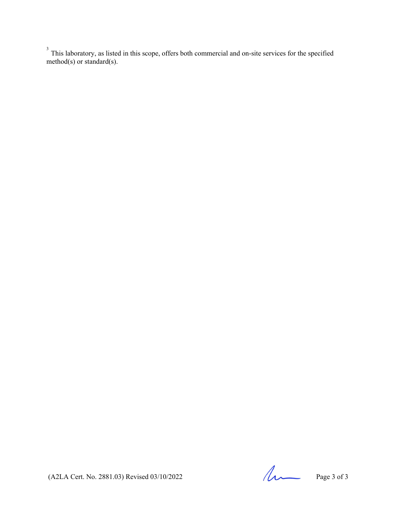$3$  This laboratory, as listed in this scope, offers both commercial and on-site services for the specified method(s) or standard(s).

 $(A2LA$  Cert. No. 2881.03) Revised 03/10/2022 Page 3 of 3